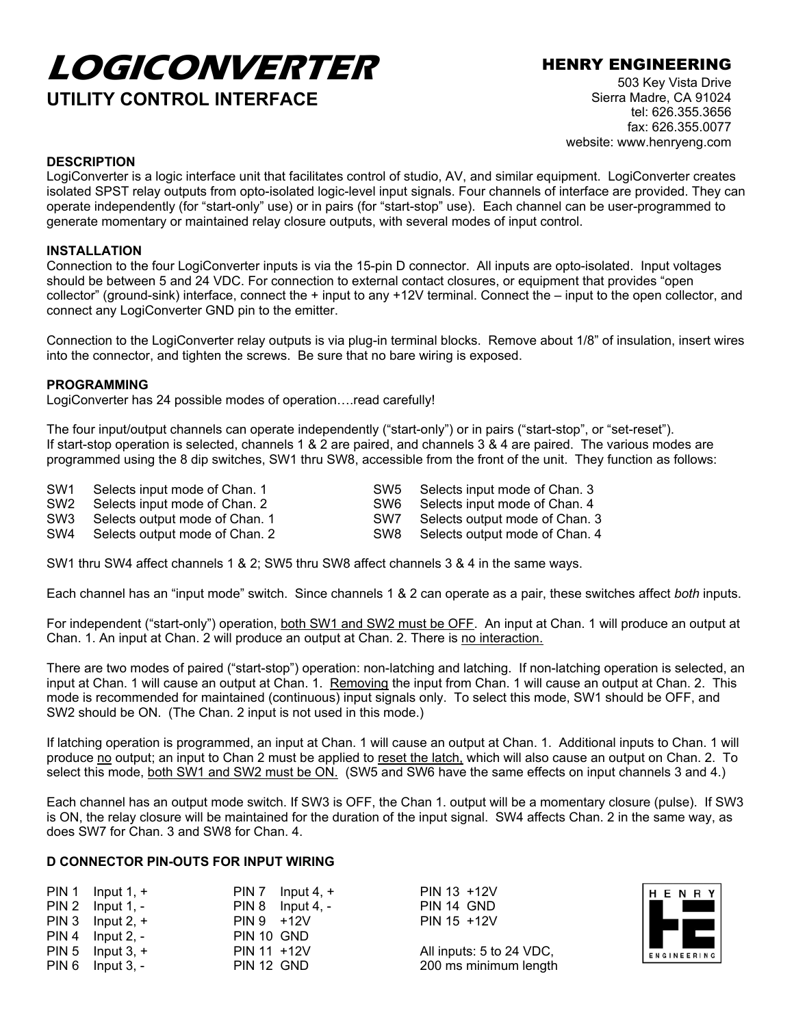# **LOGICONVERTER** HENRY ENGINEERING **UTILITY CONTROL INTERFACE**

503 Key Vista Drive Sierra Madre, CA 91024 tel: 626.355.3656 fax: 626.355.0077 website: www.henryeng.com

### **DESCRIPTION**

LogiConverter is a logic interface unit that facilitates control of studio, AV, and similar equipment. LogiConverter creates isolated SPST relay outputs from opto-isolated logic-level input signals. Four channels of interface are provided. They can operate independently (for "start-only" use) or in pairs (for "start-stop" use). Each channel can be user-programmed to generate momentary or maintained relay closure outputs, with several modes of input control.

### **INSTALLATION**

Connection to the four LogiConverter inputs is via the 15-pin D connector. All inputs are opto-isolated. Input voltages should be between 5 and 24 VDC. For connection to external contact closures, or equipment that provides "open collector" (ground-sink) interface, connect the + input to any +12V terminal. Connect the – input to the open collector, and connect any LogiConverter GND pin to the emitter.

Connection to the LogiConverter relay outputs is via plug-in terminal blocks. Remove about 1/8" of insulation, insert wires into the connector, and tighten the screws. Be sure that no bare wiring is exposed.

### **PROGRAMMING**

LogiConverter has 24 possible modes of operation....read carefully!

The four input/output channels can operate independently ("start-only") or in pairs ("start-stop", or "set-reset"). If start-stop operation is selected, channels 1 & 2 are paired, and channels 3 & 4 are paired. The various modes are programmed using the 8 dip switches, SW1 thru SW8, accessible from the front of the unit. They function as follows:

| SW <sub>1</sub> | Selects input mode of Chan. 1  | SW5  | Selects input mode of Chan. 3  |
|-----------------|--------------------------------|------|--------------------------------|
| SW <sub>2</sub> | Selects input mode of Chan. 2  | SW6. | Selects input mode of Chan. 4  |
| SW3             | Selects output mode of Chan. 1 | SW7  | Selects output mode of Chan. 3 |
| SW4             | Selects output mode of Chan. 2 | SW8  | Selects output mode of Chan. 4 |

SW1 thru SW4 affect channels 1 & 2; SW5 thru SW8 affect channels 3 & 4 in the same ways.

Each channel has an "input mode" switch. Since channels 1 & 2 can operate as a pair, these switches affect *both* inputs.

For independent ("start-only") operation, both SW1 and SW2 must be OFF. An input at Chan. 1 will produce an output at Chan. 1. An input at Chan. 2 will produce an output at Chan. 2. There is no interaction.

There are two modes of paired ("start-stop") operation: non-latching and latching. If non-latching operation is selected, an input at Chan. 1 will cause an output at Chan. 1. Removing the input from Chan. 1 will cause an output at Chan. 2. This mode is recommended for maintained (continuous) input signals only. To select this mode, SW1 should be OFF, and SW2 should be ON. (The Chan. 2 input is not used in this mode.)

If latching operation is programmed, an input at Chan. 1 will cause an output at Chan. 1. Additional inputs to Chan. 1 will produce no output; an input to Chan 2 must be applied to reset the latch, which will also cause an output on Chan. 2. To select this mode, both SW1 and SW2 must be ON. (SW5 and SW6 have the same effects on input channels 3 and 4.)

Each channel has an output mode switch. If SW3 is OFF, the Chan 1. output will be a momentary closure (pulse). If SW3 is ON, the relay closure will be maintained for the duration of the input signal. SW4 affects Chan. 2 in the same way, as does SW7 for Chan. 3 and SW8 for Chan. 4.

## **D CONNECTOR PIN-OUTS FOR INPUT WIRING**

|                                                                                                                                  | PIN 7 Input 4, $+$                                       |
|----------------------------------------------------------------------------------------------------------------------------------|----------------------------------------------------------|
|                                                                                                                                  | $PIN 8$ Input 4, -                                       |
|                                                                                                                                  |                                                          |
|                                                                                                                                  |                                                          |
|                                                                                                                                  |                                                          |
|                                                                                                                                  |                                                          |
| PIN 1 Input $1, +$<br>$PIN 2$ Input 1, -<br>PIN 3 Input 2, $+$<br>$PIN 4$ Input 2, -<br>PIN 5 Input $3, +$<br>$PIN 6$ Input 3, - | $PIN 9 + 12V$<br>PIN 10 GND<br>PIN 11 +12V<br>PIN 12 GND |

PIN 13 + 12V PIN 14 GND PIN 15 +12V

All inputs: 5 to 24 VDC, 200 ms minimum length